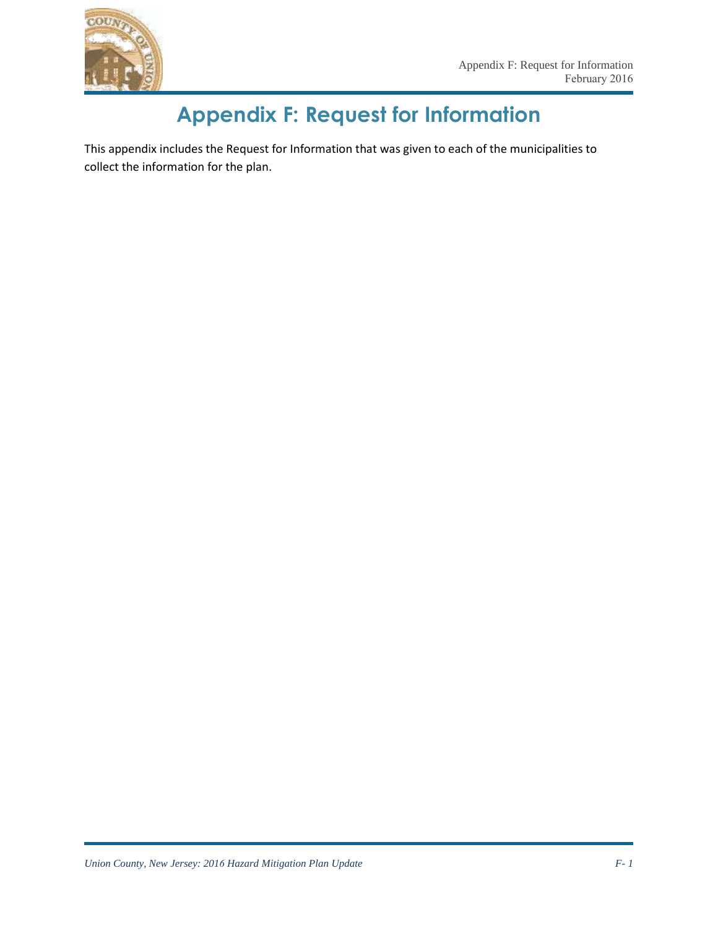

## **Appendix F: Request for Information**

This appendix includes the Request for Information that was given to each of the municipalities to collect the information for the plan.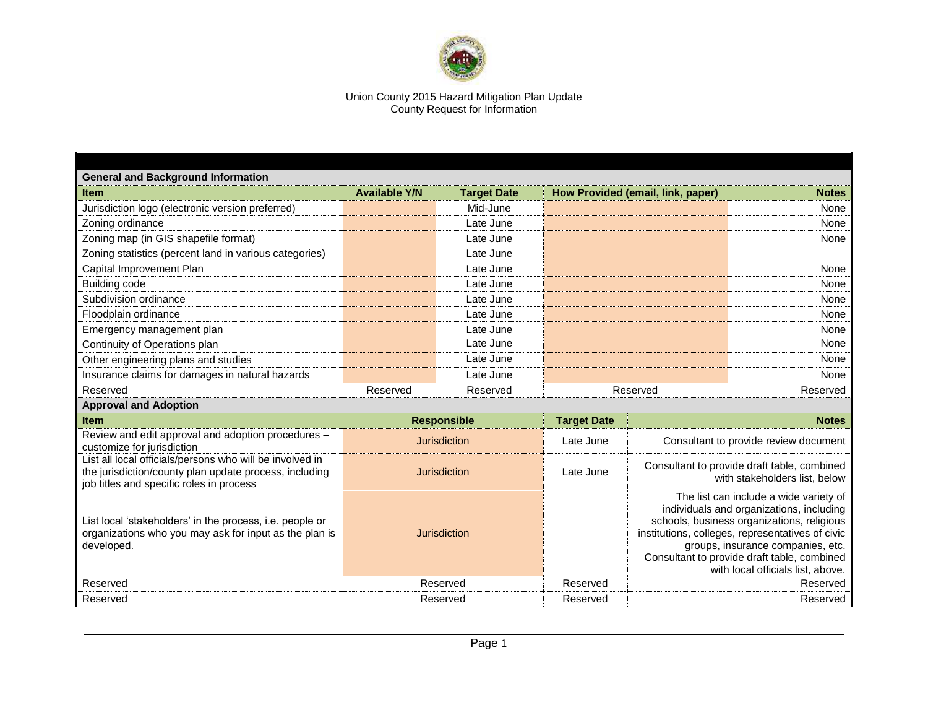

## Union County 2015 Hazard Mitigation Plan Update County Request for Information

 $\sim$   $\sim$ 

| <b>General and Background Information</b>                                                                                                                      |                      |                    |                    |                                                                                                                                                                                                                                                                                                               |              |  |  |  |
|----------------------------------------------------------------------------------------------------------------------------------------------------------------|----------------------|--------------------|--------------------|---------------------------------------------------------------------------------------------------------------------------------------------------------------------------------------------------------------------------------------------------------------------------------------------------------------|--------------|--|--|--|
| <b>Item</b>                                                                                                                                                    | <b>Available Y/N</b> | <b>Target Date</b> |                    | How Provided (email, link, paper)                                                                                                                                                                                                                                                                             | <b>Notes</b> |  |  |  |
| Jurisdiction logo (electronic version preferred)                                                                                                               |                      | Mid-June           |                    |                                                                                                                                                                                                                                                                                                               | None         |  |  |  |
| Zoning ordinance                                                                                                                                               |                      | Late June          |                    |                                                                                                                                                                                                                                                                                                               | None         |  |  |  |
| Zoning map (in GIS shapefile format)                                                                                                                           |                      | Late June          |                    |                                                                                                                                                                                                                                                                                                               | None         |  |  |  |
| Zoning statistics (percent land in various categories)                                                                                                         |                      | Late June          |                    |                                                                                                                                                                                                                                                                                                               |              |  |  |  |
| Capital Improvement Plan                                                                                                                                       |                      | Late June          |                    |                                                                                                                                                                                                                                                                                                               | None         |  |  |  |
| <b>Building code</b>                                                                                                                                           |                      | Late June          |                    |                                                                                                                                                                                                                                                                                                               | None         |  |  |  |
| Subdivision ordinance                                                                                                                                          |                      | Late June          |                    |                                                                                                                                                                                                                                                                                                               | None         |  |  |  |
| Floodplain ordinance                                                                                                                                           |                      | Late June          |                    |                                                                                                                                                                                                                                                                                                               | None         |  |  |  |
| Emergency management plan                                                                                                                                      |                      | Late June          |                    |                                                                                                                                                                                                                                                                                                               | None         |  |  |  |
| Continuity of Operations plan                                                                                                                                  |                      | Late June          |                    |                                                                                                                                                                                                                                                                                                               | None         |  |  |  |
| Other engineering plans and studies                                                                                                                            |                      | Late June          |                    |                                                                                                                                                                                                                                                                                                               | None         |  |  |  |
| Insurance claims for damages in natural hazards                                                                                                                |                      | Late June          |                    |                                                                                                                                                                                                                                                                                                               | None         |  |  |  |
| Reserved                                                                                                                                                       | Reserved             | Reserved           | Reserved           |                                                                                                                                                                                                                                                                                                               | Reserved     |  |  |  |
| <b>Approval and Adoption</b>                                                                                                                                   |                      |                    |                    |                                                                                                                                                                                                                                                                                                               |              |  |  |  |
| <b>Item</b>                                                                                                                                                    | <b>Responsible</b>   |                    | <b>Target Date</b> | <b>Notes</b>                                                                                                                                                                                                                                                                                                  |              |  |  |  |
| Review and edit approval and adoption procedures -<br>customize for jurisdiction                                                                               | <b>Jurisdiction</b>  |                    | Late June          | Consultant to provide review document                                                                                                                                                                                                                                                                         |              |  |  |  |
| List all local officials/persons who will be involved in<br>the jurisdiction/county plan update process, including<br>job titles and specific roles in process | <b>Jurisdiction</b>  |                    | Late June          | Consultant to provide draft table, combined<br>with stakeholders list, below                                                                                                                                                                                                                                  |              |  |  |  |
| List local 'stakeholders' in the process, i.e. people or<br>organizations who you may ask for input as the plan is<br>developed.                               | Jurisdiction         |                    |                    | The list can include a wide variety of<br>individuals and organizations, including<br>schools, business organizations, religious<br>institutions, colleges, representatives of civic<br>groups, insurance companies, etc.<br>Consultant to provide draft table, combined<br>with local officials list, above. |              |  |  |  |
| Reserved                                                                                                                                                       | Reserved             |                    | Reserved           | Reserved                                                                                                                                                                                                                                                                                                      |              |  |  |  |
| Reserved                                                                                                                                                       | Reserved             |                    | Reserved           | Reserved                                                                                                                                                                                                                                                                                                      |              |  |  |  |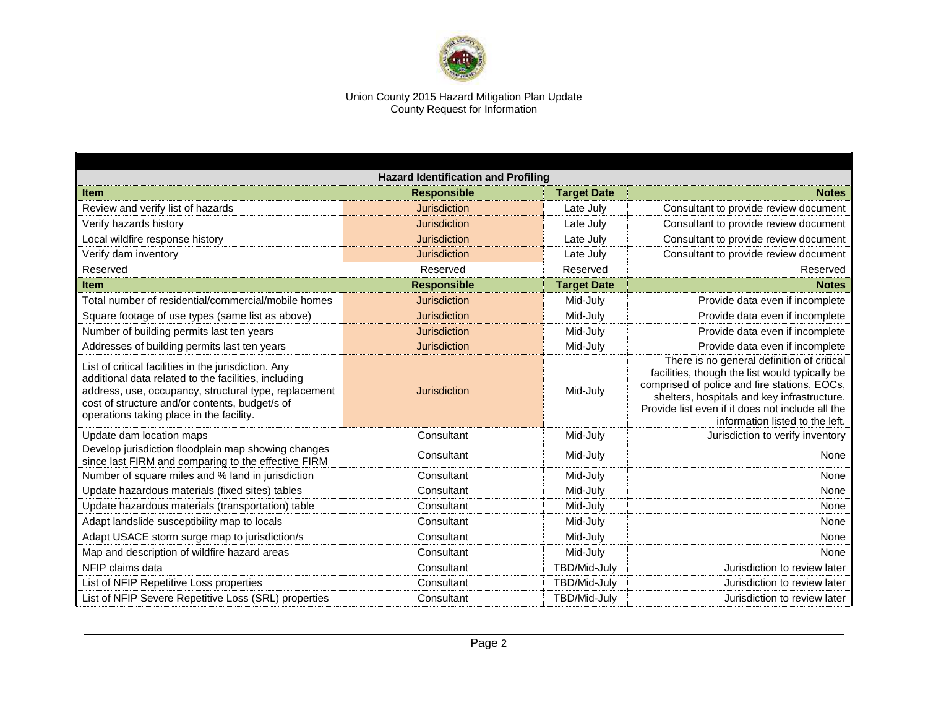

## Union County 2015 Hazard Mitigation Plan Update County Request for Information

 $\sim$ 

| <b>Hazard Identification and Profiling</b>                                                                                                                                                                                                                          |                     |                    |                                                                                                                                                                                                                                                                                    |  |  |  |
|---------------------------------------------------------------------------------------------------------------------------------------------------------------------------------------------------------------------------------------------------------------------|---------------------|--------------------|------------------------------------------------------------------------------------------------------------------------------------------------------------------------------------------------------------------------------------------------------------------------------------|--|--|--|
| <b>Item</b>                                                                                                                                                                                                                                                         | <b>Responsible</b>  | <b>Target Date</b> | <b>Notes</b>                                                                                                                                                                                                                                                                       |  |  |  |
| Review and verify list of hazards                                                                                                                                                                                                                                   | <b>Jurisdiction</b> | Late July          | Consultant to provide review document                                                                                                                                                                                                                                              |  |  |  |
| Verify hazards history                                                                                                                                                                                                                                              | <b>Jurisdiction</b> | Late July          | Consultant to provide review document                                                                                                                                                                                                                                              |  |  |  |
| Local wildfire response history                                                                                                                                                                                                                                     | <b>Jurisdiction</b> | Late July          | Consultant to provide review document                                                                                                                                                                                                                                              |  |  |  |
| Verify dam inventory                                                                                                                                                                                                                                                | <b>Jurisdiction</b> | Late July          | Consultant to provide review document                                                                                                                                                                                                                                              |  |  |  |
| Reserved                                                                                                                                                                                                                                                            | Reserved            | Reserved           | Reserved                                                                                                                                                                                                                                                                           |  |  |  |
| <b>Item</b>                                                                                                                                                                                                                                                         | <b>Responsible</b>  | <b>Target Date</b> | <b>Notes</b>                                                                                                                                                                                                                                                                       |  |  |  |
| Total number of residential/commercial/mobile homes                                                                                                                                                                                                                 | <b>Jurisdiction</b> | Mid-July           | Provide data even if incomplete                                                                                                                                                                                                                                                    |  |  |  |
| Square footage of use types (same list as above)                                                                                                                                                                                                                    | <b>Jurisdiction</b> | Mid-July           | Provide data even if incomplete                                                                                                                                                                                                                                                    |  |  |  |
| Number of building permits last ten years                                                                                                                                                                                                                           | <b>Jurisdiction</b> | Mid-July           | Provide data even if incomplete                                                                                                                                                                                                                                                    |  |  |  |
| Addresses of building permits last ten years                                                                                                                                                                                                                        | <b>Jurisdiction</b> | Mid-July           | Provide data even if incomplete                                                                                                                                                                                                                                                    |  |  |  |
| List of critical facilities in the jurisdiction. Any<br>additional data related to the facilities, including<br>address, use, occupancy, structural type, replacement<br>cost of structure and/or contents, budget/s of<br>operations taking place in the facility. | Jurisdiction        | Mid-July           | There is no general definition of critical<br>facilities, though the list would typically be<br>comprised of police and fire stations, EOCs,<br>shelters, hospitals and key infrastructure.<br>Provide list even if it does not include all the<br>information listed to the left. |  |  |  |
| Update dam location maps                                                                                                                                                                                                                                            | Consultant          | Mid-July           | Jurisdiction to verify inventory                                                                                                                                                                                                                                                   |  |  |  |
| Develop jurisdiction floodplain map showing changes<br>since last FIRM and comparing to the effective FIRM                                                                                                                                                          | Consultant          | Mid-July           | None                                                                                                                                                                                                                                                                               |  |  |  |
| Number of square miles and % land in jurisdiction                                                                                                                                                                                                                   | Consultant          | Mid-July           | None                                                                                                                                                                                                                                                                               |  |  |  |
| Update hazardous materials (fixed sites) tables                                                                                                                                                                                                                     | Consultant          | Mid-July           | None                                                                                                                                                                                                                                                                               |  |  |  |
| Update hazardous materials (transportation) table                                                                                                                                                                                                                   | Consultant          | Mid-July           | None                                                                                                                                                                                                                                                                               |  |  |  |
| Adapt landslide susceptibility map to locals                                                                                                                                                                                                                        | Consultant          | Mid-July           | None                                                                                                                                                                                                                                                                               |  |  |  |
| Adapt USACE storm surge map to jurisdiction/s                                                                                                                                                                                                                       | Consultant          | Mid-July           | None                                                                                                                                                                                                                                                                               |  |  |  |
| Map and description of wildfire hazard areas                                                                                                                                                                                                                        | Consultant          | Mid-July           | None                                                                                                                                                                                                                                                                               |  |  |  |
| NFIP claims data                                                                                                                                                                                                                                                    | Consultant          | TBD/Mid-July       | Jurisdiction to review later                                                                                                                                                                                                                                                       |  |  |  |
| List of NFIP Repetitive Loss properties                                                                                                                                                                                                                             | Consultant          | TBD/Mid-July       | Jurisdiction to review later                                                                                                                                                                                                                                                       |  |  |  |
| List of NFIP Severe Repetitive Loss (SRL) properties                                                                                                                                                                                                                | Consultant          | TBD/Mid-July       | Jurisdiction to review later                                                                                                                                                                                                                                                       |  |  |  |